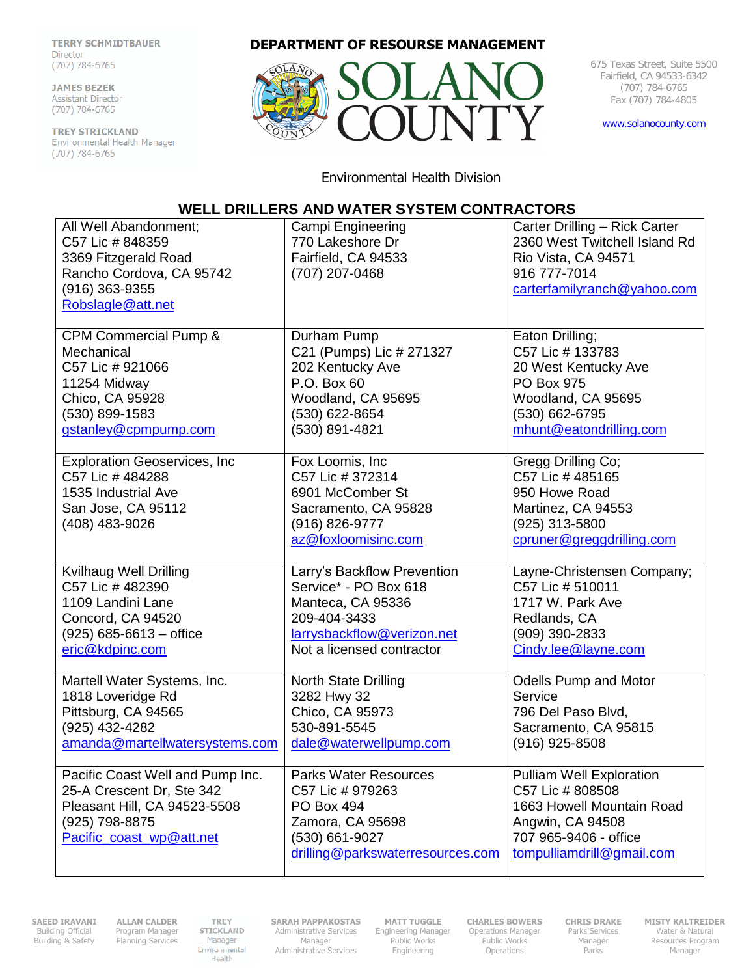**TERRY SCHMIDTBAUER** Director  $(707)$  784-6765

**JAMES BEZEK** Assistant Director  $(707) 784 - 6765$ 

TREY STRICKLAND Environmental Health Manager<br>(707) 784-6765

## **DEPARTMENT OF RESOURSE MANAGEMENT**



675 Texas Street, Suite 5500 Fairfield, CA 94533-6342 (707) 784-6765 Fax (707) 784-4805

[www.solanocounty.com](http://www.solanocounty.com/)

Environmental Health Division

## **WELL DRILLERS AND WATER SYSTEM CONTRACTORS**

| All Well Abandonment;<br>C57 Lic # 848359<br>3369 Fitzgerald Road<br>Rancho Cordova, CA 95742<br>(916) 363-9355<br>Robslagle@att.net        | Campi Engineering<br>770 Lakeshore Dr<br>Fairfield, CA 94533<br>(707) 207-0468                                                           | Carter Drilling - Rick Carter<br>2360 West Twitchell Island Rd<br>Rio Vista, CA 94571<br>916 777-7014<br>carterfamilyranch@yahoo.com                       |
|---------------------------------------------------------------------------------------------------------------------------------------------|------------------------------------------------------------------------------------------------------------------------------------------|------------------------------------------------------------------------------------------------------------------------------------------------------------|
| CPM Commercial Pump &                                                                                                                       | Durham Pump                                                                                                                              | Eaton Drilling;                                                                                                                                            |
| Mechanical                                                                                                                                  | C21 (Pumps) Lic # 271327                                                                                                                 | C57 Lic # 133783                                                                                                                                           |
| C57 Lic # 921066                                                                                                                            | 202 Kentucky Ave                                                                                                                         | 20 West Kentucky Ave                                                                                                                                       |
| 11254 Midway                                                                                                                                | P.O. Box 60                                                                                                                              | <b>PO Box 975</b>                                                                                                                                          |
| Chico, CA 95928                                                                                                                             | Woodland, CA 95695                                                                                                                       | Woodland, CA 95695                                                                                                                                         |
| (530) 899-1583                                                                                                                              | (530) 622-8654                                                                                                                           | (530) 662-6795                                                                                                                                             |
| gstanley@cpmpump.com                                                                                                                        | (530) 891-4821                                                                                                                           | mhunt@eatondrilling.com                                                                                                                                    |
| <b>Exploration Geoservices, Inc</b><br>C57 Lic # 484288<br>1535 Industrial Ave<br>San Jose, CA 95112<br>(408) 483-9026                      | Fox Loomis, Inc<br>C57 Lic # 372314<br>6901 McComber St<br>Sacramento, CA 95828<br>(916) 826-9777<br>az@foxloomisinc.com                 | Gregg Drilling Co;<br>C57 Lic # 485165<br>950 Howe Road<br>Martinez, CA 94553<br>(925) 313-5800<br>cpruner@greggdrilling.com                               |
| Kvilhaug Well Drilling                                                                                                                      | Larry's Backflow Prevention                                                                                                              | Layne-Christensen Company;                                                                                                                                 |
| C57 Lic # 482390                                                                                                                            | Service* - PO Box 618                                                                                                                    | C57 Lic # 510011                                                                                                                                           |
| 1109 Landini Lane                                                                                                                           | Manteca, CA 95336                                                                                                                        | 1717 W. Park Ave                                                                                                                                           |
| Concord, CA 94520                                                                                                                           | 209-404-3433                                                                                                                             | Redlands, CA                                                                                                                                               |
| $(925) 685 - 6613 -$ office                                                                                                                 | larrysbackflow@verizon.net                                                                                                               | (909) 390-2833                                                                                                                                             |
| eric@kdpinc.com                                                                                                                             | Not a licensed contractor                                                                                                                | Cindy.lee@layne.com                                                                                                                                        |
| Martell Water Systems, Inc.                                                                                                                 | <b>North State Drilling</b>                                                                                                              | <b>Odells Pump and Motor</b>                                                                                                                               |
| 1818 Loveridge Rd                                                                                                                           | 3282 Hwy 32                                                                                                                              | Service                                                                                                                                                    |
| Pittsburg, CA 94565                                                                                                                         | Chico, CA 95973                                                                                                                          | 796 Del Paso Blvd,                                                                                                                                         |
| (925) 432-4282                                                                                                                              | 530-891-5545                                                                                                                             | Sacramento, CA 95815                                                                                                                                       |
| amanda@martellwatersystems.com                                                                                                              | dale@waterwellpump.com                                                                                                                   | $(916)$ 925-8508                                                                                                                                           |
| Pacific Coast Well and Pump Inc.<br>25-A Crescent Dr, Ste 342<br>Pleasant Hill, CA 94523-5508<br>(925) 798-8875<br>Pacific coast wp@att.net | <b>Parks Water Resources</b><br>C57 Lic # 979263<br>PO Box 494<br>Zamora, CA 95698<br>(530) 661-9027<br>drilling@parkswaterresources.com | <b>Pulliam Well Exploration</b><br>C57 Lic # 808508<br>1663 Howell Mountain Road<br>Angwin, CA 94508<br>707 965-9406 - office<br>tompulliamdrill@gmail.com |

**SAEED IRAVANI**  Building Official Building & Safety

**ALLAN CALDER**  Program Manager Planning Services **TREY** STICKLAND Manager Environmental<br>Health **SARAH PAPPAKOSTAS**  Administrative Services Manager Administrative Services

**MATT TUGGLE**  Engineering Manager Public Works Engineering

**CHARLES BOWERS**  Operations Manager Public Works Operations

**CHRIS DRAKE**  Parks Services Manager **Parks** 

**MISTY KALTREIDER**  Water & Natural Resources Program Manager<sup>1</sup>